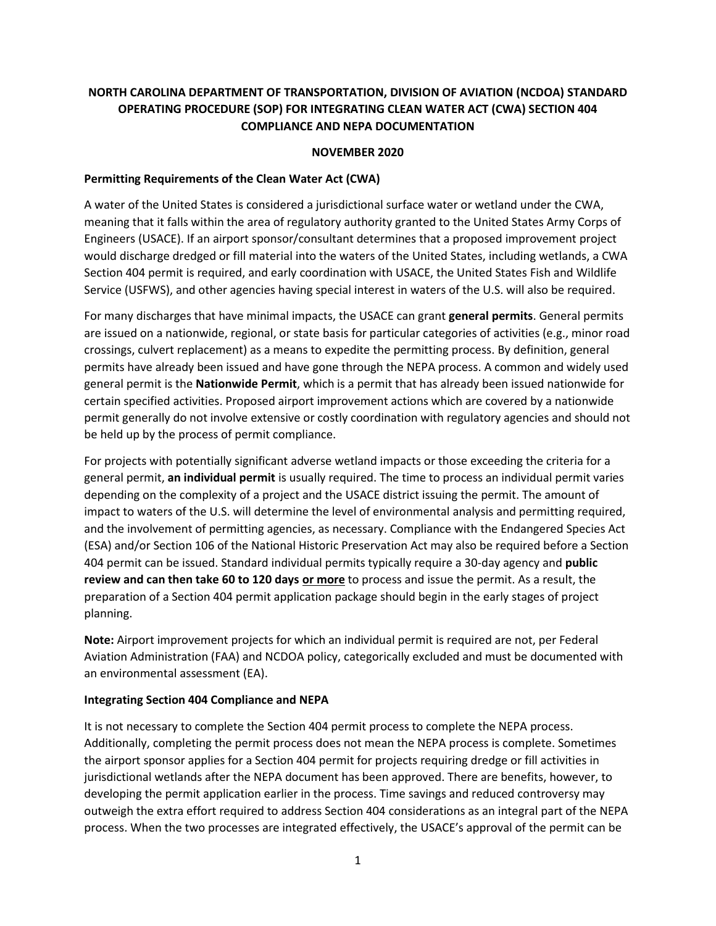## **NORTH CAROLINA DEPARTMENT OF TRANSPORTATION, DIVISION OF AVIATION (NCDOA) STANDARD OPERATING PROCEDURE (SOP) FOR INTEGRATING CLEAN WATER ACT (CWA) SECTION 404 COMPLIANCE AND NEPA DOCUMENTATION**

## **NOVEMBER 2020**

## **Permitting Requirements of the Clean Water Act (CWA)**

A water of the United States is considered a jurisdictional surface water or wetland under the CWA, meaning that it falls within the area of regulatory authority granted to the United States Army Corps of Engineers (USACE). If an airport sponsor/consultant determines that a proposed improvement project would discharge dredged or fill material into the waters of the United States, including wetlands, a CWA Section 404 permit is required, and early coordination with USACE, the United States Fish and Wildlife Service (USFWS), and other agencies having special interest in waters of the U.S. will also be required.

For many discharges that have minimal impacts, the USACE can grant **general permits**. General permits are issued on a nationwide, regional, or state basis for particular categories of activities (e.g., minor road crossings, culvert replacement) as a means to expedite the permitting process. By definition, general permits have already been issued and have gone through the NEPA process. A common and widely used general permit is the **Nationwide Permit**, which is a permit that has already been issued nationwide for certain specified activities. Proposed airport improvement actions which are covered by a nationwide permit generally do not involve extensive or costly coordination with regulatory agencies and should not be held up by the process of permit compliance.

For projects with potentially significant adverse wetland impacts or those exceeding the criteria for a general permit, **an individual permit** is usually required. The time to process an individual permit varies depending on the complexity of a project and the USACE district issuing the permit. The amount of impact to waters of the U.S. will determine the level of environmental analysis and permitting required, and the involvement of permitting agencies, as necessary. Compliance with the Endangered Species Act (ESA) and/or Section 106 of the National Historic Preservation Act may also be required before a Section 404 permit can be issued. Standard individual permits typically require a 30-day agency and **public review and can then take 60 to 120 days or more** to process and issue the permit. As a result, the preparation of a Section 404 permit application package should begin in the early stages of project planning.

**Note:** Airport improvement projects for which an individual permit is required are not, per Federal Aviation Administration (FAA) and NCDOA policy, categorically excluded and must be documented with an environmental assessment (EA).

## **Integrating Section 404 Compliance and NEPA**

It is not necessary to complete the Section 404 permit process to complete the NEPA process. Additionally, completing the permit process does not mean the NEPA process is complete. Sometimes the airport sponsor applies for a Section 404 permit for projects requiring dredge or fill activities in jurisdictional wetlands after the NEPA document has been approved. There are benefits, however, to developing the permit application earlier in the process. Time savings and reduced controversy may outweigh the extra effort required to address Section 404 considerations as an integral part of the NEPA process. When the two processes are integrated effectively, the USACE's approval of the permit can be